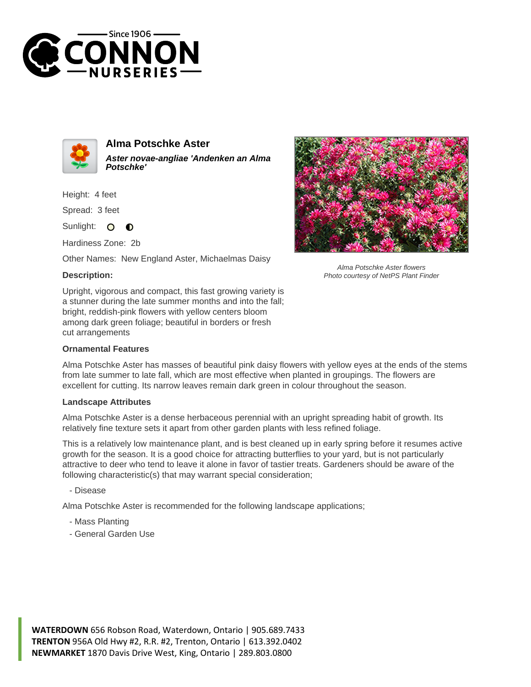



**Alma Potschke Aster Aster novae-angliae 'Andenken an Alma Potschke'**

Height: 4 feet

Spread: 3 feet

Sunlight:  $\circ$  $\bullet$ 

Hardiness Zone: 2b

Other Names: New England Aster, Michaelmas Daisy

## **Description:**



Alma Potschke Aster flowers Photo courtesy of NetPS Plant Finder

Upright, vigorous and compact, this fast growing variety is a stunner during the late summer months and into the fall; bright, reddish-pink flowers with yellow centers bloom among dark green foliage; beautiful in borders or fresh cut arrangements

## **Ornamental Features**

Alma Potschke Aster has masses of beautiful pink daisy flowers with yellow eyes at the ends of the stems from late summer to late fall, which are most effective when planted in groupings. The flowers are excellent for cutting. Its narrow leaves remain dark green in colour throughout the season.

## **Landscape Attributes**

Alma Potschke Aster is a dense herbaceous perennial with an upright spreading habit of growth. Its relatively fine texture sets it apart from other garden plants with less refined foliage.

This is a relatively low maintenance plant, and is best cleaned up in early spring before it resumes active growth for the season. It is a good choice for attracting butterflies to your yard, but is not particularly attractive to deer who tend to leave it alone in favor of tastier treats. Gardeners should be aware of the following characteristic(s) that may warrant special consideration;

- Disease

Alma Potschke Aster is recommended for the following landscape applications;

- Mass Planting
- General Garden Use

**WATERDOWN** 656 Robson Road, Waterdown, Ontario | 905.689.7433 **TRENTON** 956A Old Hwy #2, R.R. #2, Trenton, Ontario | 613.392.0402 **NEWMARKET** 1870 Davis Drive West, King, Ontario | 289.803.0800